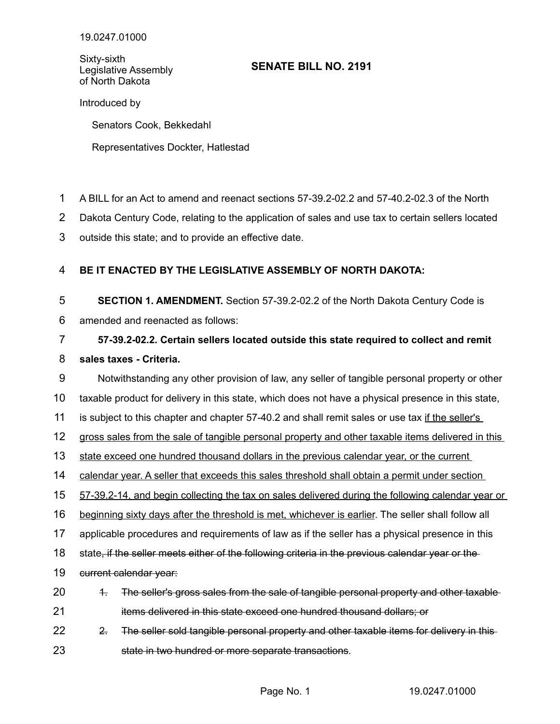Sixty-sixth Legislative Assembly of North Dakota

## **SENATE BILL NO. 2191**

Introduced by

Senators Cook, Bekkedahl

Representatives Dockter, Hatlestad

- A BILL for an Act to amend and reenact sections 57-39.2-02.2 and 57-40.2-02.3 of the North 1
- Dakota Century Code, relating to the application of sales and use tax to certain sellers located 2
- outside this state; and to provide an effective date. 3

## **BE IT ENACTED BY THE LEGISLATIVE ASSEMBLY OF NORTH DAKOTA:** 4

**SECTION 1. AMENDMENT.** Section 57-39.2-02.2 of the North Dakota Century Code is 5

amended and reenacted as follows: 6

## **57-39.2-02.2. Certain sellers located outside this state required to collect and remit sales taxes - Criteria.** 7 8

Notwithstanding any other provision of law, any seller of tangible personal property or other 9

taxable product for delivery in this state, which does not have a physical presence in this state, 10

is subject to this chapter and chapter 57-40.2 and shall remit sales or use tax if the seller's 11

gross sales from the sale of tangible personal property and other taxable items delivered in this 12

state exceed one hundred thousand dollars in the previous calendar year, or the current 13

calendar year. A seller that exceeds this sales threshold shall obtain a permit under section 14

 57 - 39.2 - 14, and begin collecting the tax on sales delivered during the following calendar year or 15

beginning sixty days after the threshold is met, whichever is earlier. The seller shall follow all 16

applicable procedures and requirements of law as if the seller has a physical presence in this 17

state, if the seller meets either of the following criteria in the previous calendar year or the 18

current calendar year: 19

- 1. The seller's gross sales from the sale of tangible personal property and other taxable items delivered in this state exceed one hundred thousand dollars; or 20 21
- 2. The seller sold tangible personal property and other taxable items for delivery in this 22
- state in two hundred or more separate transactions. 23